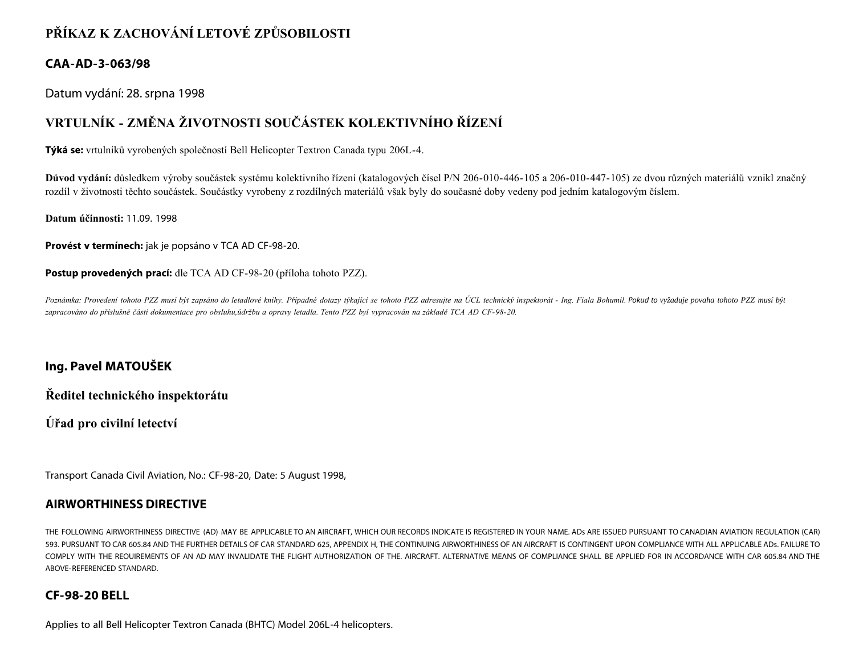## **PŘÍKAZ K ZACHOVÁNÍ LETOVÉ ZPŮSOBILOSTI**

### **CAA-AD-3-063/98**

Datum vydání: 28. srpna 1998

# **VRTULNÍK - ZMĚNA ŽIVOTNOSTI SOUČÁSTEK KOLEKTIVNÍHO ŘÍZENÍ**

**Týká se:** vrtulníků vyrobených společností Bell Helicopter Textron Canada typu 206L-4.

**Důvod vydání:** důsledkem výroby součástek systému kolektivního řízení (katalogových čísel P/N 206-010-446-105 a 206-010-447-105) ze dvou různých materiálů vznikl značný rozdíl v životnosti těchto součástek. Součástky vyrobeny z rozdílných materiálů však byly do současné doby vedeny pod jedním katalogovým číslem.

**Datum účinnosti:** 11.09. 1998

**Provést v termínech:** jak je popsáno v TCA AD CF-98-20.

**Postup provedených prací:** dle TCA AD CF-98-20 (příloha tohoto PZZ).

Poznámka: Provedení tohoto PZZ musí být zapsáno do letadlové knihy. Případné dotazy týkající se tohoto PZZ adresujte na ÚCL technický inspektorát - Ing. Fiala Bohumil. Pokud to vyžaduje povaha tohoto PZZ musí být *zapracováno do příslušné části dokumentace pro obsluhu,údržbu a opravy letadla. Tento PZZ byl vypracován na základě TCA AD CF-98-20.*

## **Ing. Pavel MATOUŠEK**

**Ředitel technického inspektorátu**

**Úřad pro civilní letectví**

Transport Canada Civil Aviation, No.: CF-98-20, Date: 5 August 1998,

#### **AIRWORTHINESS DIRECTIVE**

THE FOLLOWING AIRWORTHINESS DIRECTIVE (AD) MAY BE APPLICABLE TO AN AIRCRAFT, WHICH OUR RECORDS INDICATE IS REGISTERED IN YOUR NAME. ADs ARE ISSUED PURSUANT TO CANADIAN AVIATION REGULATION (CAR) 593. PURSUANT TO CAR 605.84 AND THE FURTHER DETAILS OF CAR STANDARD 625, APPENDIX H, THE CONTINUING AIRWORTHINESS OF AN AIRCRAFT IS CONTINGENT UPON COMPLIANCE WITH ALL APPLICABLE ADs. FAILURE TO COMPLY WITH THE REOUIREMENTS OF AN AD MAY INVALIDATE THE FLIGHT AUTHORIZATION OF THE. AIRCRAFT. ALTERNATIVE MEANS OF COMPLIANCE SHALL BE APPLIED FOR IN ACCORDANCE WITH CAR 605.84 AND THE ABOVE-REFERENCED STANDARD.

#### **CF-98-20 BELL**

Applies to all Bell Helicopter Textron Canada (BHTC) Model 206L-4 helicopters.